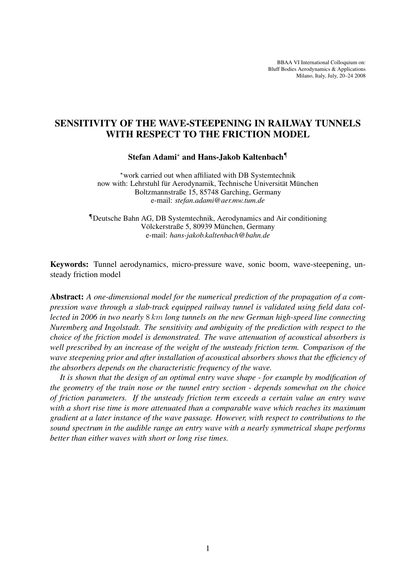BBAA VI International Colloquium on: Bluff Bodies Aerodynamics & Applications Milano, Italy, July, 20–24 2008

# SENSITIVITY OF THE WAVE-STEEPENING IN RAILWAY TUNNELS WITH RESPECT TO THE FRICTION MODEL

### Stefan Adami? and Hans-Jakob Kaltenbach¶

\*work carried out when affiliated with DB Systemtechnik now with: Lehrstuhl für Aerodynamik, Technische Universität München Boltzmannstraße 15, 85748 Garching, Germany e-mail: *stefan.adami@aer.mw.tum.de*

¶Deutsche Bahn AG, DB Systemtechnik, Aerodynamics and Air conditioning Völckerstraße 5, 80939 München, Germany e-mail: *hans-jakob.kaltenbach@bahn.de*

Keywords: Tunnel aerodynamics, micro-pressure wave, sonic boom, wave-steepening, unsteady friction model

Abstract: *A one-dimensional model for the numerical prediction of the propagation of a compression wave through a slab-track equipped railway tunnel is validated using field data collected in 2006 in two nearly* 8 km *long tunnels on the new German high-speed line connecting Nuremberg and Ingolstadt. The sensitivity and ambiguity of the prediction with respect to the choice of the friction model is demonstrated. The wave attenuation of acoustical absorbers is well prescribed by an increase of the weight of the unsteady friction term. Comparison of the wave steepening prior and after installation of acoustical absorbers shows that the efficiency of the absorbers depends on the characteristic frequency of the wave.*

*It is shown that the design of an optimal entry wave shape - for example by modification of the geometry of the train nose or the tunnel entry section - depends somewhat on the choice of friction parameters. If the unsteady friction term exceeds a certain value an entry wave with a short rise time is more attenuated than a comparable wave which reaches its maximum gradient at a later instance of the wave passage. However, with respect to contributions to the sound spectrum in the audible range an entry wave with a nearly symmetrical shape performs better than either waves with short or long rise times.*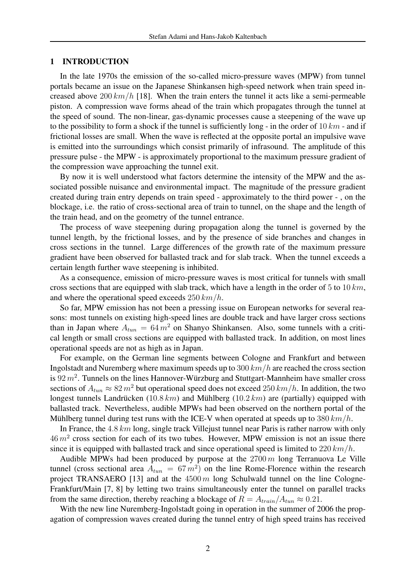## 1 INTRODUCTION

In the late 1970s the emission of the so-called micro-pressure waves (MPW) from tunnel portals became an issue on the Japanese Shinkansen high-speed network when train speed increased above  $200 \, km/h$  [18]. When the train enters the tunnel it acts like a semi-permeable piston. A compression wave forms ahead of the train which propagates through the tunnel at the speed of sound. The non-linear, gas-dynamic processes cause a steepening of the wave up to the possibility to form a shock if the tunnel is sufficiently long - in the order of  $10 km$  - and if frictional losses are small. When the wave is reflected at the opposite portal an impulsive wave is emitted into the surroundings which consist primarily of infrasound. The amplitude of this pressure pulse - the MPW - is approximately proportional to the maximum pressure gradient of the compression wave approaching the tunnel exit.

By now it is well understood what factors determine the intensity of the MPW and the associated possible nuisance and environmental impact. The magnitude of the pressure gradient created during train entry depends on train speed - approximately to the third power - , on the blockage, i.e. the ratio of cross-sectional area of train to tunnel, on the shape and the length of the train head, and on the geometry of the tunnel entrance.

The process of wave steepening during propagation along the tunnel is governed by the tunnel length, by the frictional losses, and by the presence of side branches and changes in cross sections in the tunnel. Large differences of the growth rate of the maximum pressure gradient have been observed for ballasted track and for slab track. When the tunnel exceeds a certain length further wave steepening is inhibited.

As a consequence, emission of micro-pressure waves is most critical for tunnels with small cross sections that are equipped with slab track, which have a length in the order of 5 to 10  $km$ , and where the operational speed exceeds  $250 \, km/h$ .

So far, MPW emission has not been a pressing issue on European networks for several reasons: most tunnels on existing high-speed lines are double track and have larger cross sections than in Japan where  $A_{tun} = 64 m^2$  on Shanyo Shinkansen. Also, some tunnels with a critical length or small cross sections are equipped with ballasted track. In addition, on most lines operational speeds are not as high as in Japan.

For example, on the German line segments between Cologne and Frankfurt and between Ingolstadt and Nuremberg where maximum speeds up to  $300 \, km/h$  are reached the cross section is 92 $m^2$ . Tunnels on the lines Hannover-Würzburg and Stuttgart-Mannheim have smaller cross sections of  $A_{tun} \approx 82 m^2$  but operational speed does not exceed 250 km/h. In addition, the two longest tunnels Landrücken (10.8 km) and Mühlberg (10.2 km) are (partially) equipped with ballasted track. Nevertheless, audible MPWs had been observed on the northern portal of the Mühlberg tunnel during test runs with the ICE-V when operated at speeds up to  $380 \, km/h$ .

In France, the 4.8 km long, single track Villejust tunnel near Paris is rather narrow with only  $46 m<sup>2</sup>$  cross section for each of its two tubes. However, MPW emission is not an issue there since it is equipped with ballasted track and since operational speed is limited to  $220 \, km/h$ .

Audible MPWs had been produced by purpose at the  $2700 \, \text{m}$  long Terranuova Le Ville tunnel (cross sectional area  $A_{tun} = 67 m^2$ ) on the line Rome-Florence within the research project TRANSAERO [13] and at the  $4500 \, m$  long Schulwald tunnel on the line Cologne-Frankfurt/Main [7, 8] by letting two trains simultaneously enter the tunnel on parallel tracks from the same direction, thereby reaching a blockage of  $R = A_{train}/A_{tun} \approx 0.21$ .

With the new line Nuremberg-Ingolstadt going in operation in the summer of 2006 the propagation of compression waves created during the tunnel entry of high speed trains has received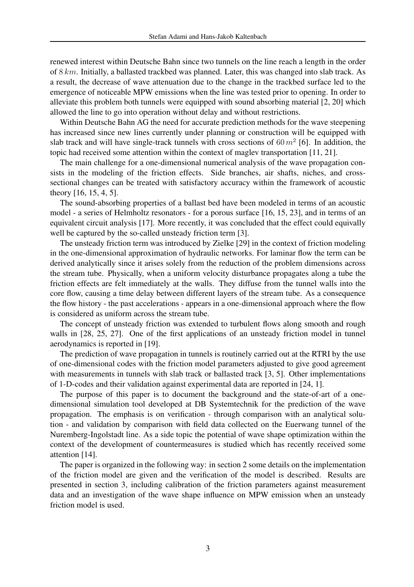renewed interest within Deutsche Bahn since two tunnels on the line reach a length in the order of 8 km. Initially, a ballasted trackbed was planned. Later, this was changed into slab track. As a result, the decrease of wave attenuation due to the change in the trackbed surface led to the emergence of noticeable MPW emissions when the line was tested prior to opening. In order to alleviate this problem both tunnels were equipped with sound absorbing material [2, 20] which allowed the line to go into operation without delay and without restrictions.

Within Deutsche Bahn AG the need for accurate prediction methods for the wave steepening has increased since new lines currently under planning or construction will be equipped with slab track and will have single-track tunnels with cross sections of  $60 m<sup>2</sup>$  [6]. In addition, the topic had received some attention within the context of maglev transportation [11, 21].

The main challenge for a one-dimensional numerical analysis of the wave propagation consists in the modeling of the friction effects. Side branches, air shafts, niches, and crosssectional changes can be treated with satisfactory accuracy within the framework of acoustic theory [16, 15, 4, 5].

The sound-absorbing properties of a ballast bed have been modeled in terms of an acoustic model - a series of Helmholtz resonators - for a porous surface [16, 15, 23], and in terms of an equivalent circuit analysis [17]. More recently, it was concluded that the effect could equivally well be captured by the so-called unsteady friction term [3].

The unsteady friction term was introduced by Zielke [29] in the context of friction modeling in the one-dimensional approximation of hydraulic networks. For laminar flow the term can be derived analytically since it arises solely from the reduction of the problem dimensions across the stream tube. Physically, when a uniform velocity disturbance propagates along a tube the friction effects are felt immediately at the walls. They diffuse from the tunnel walls into the core flow, causing a time delay between different layers of the stream tube. As a consequence the flow history - the past accelerations - appears in a one-dimensional approach where the flow is considered as uniform across the stream tube.

The concept of unsteady friction was extended to turbulent flows along smooth and rough walls in [28, 25, 27]. One of the first applications of an unsteady friction model in tunnel aerodynamics is reported in [19].

The prediction of wave propagation in tunnels is routinely carried out at the RTRI by the use of one-dimensional codes with the friction model parameters adjusted to give good agreement with measurements in tunnels with slab track or ballasted track [3, 5]. Other implementations of 1-D-codes and their validation against experimental data are reported in [24, 1].

The purpose of this paper is to document the background and the state-of-art of a onedimensional simulation tool developed at DB Systemtechnik for the prediction of the wave propagation. The emphasis is on verification - through comparison with an analytical solution - and validation by comparison with field data collected on the Euerwang tunnel of the Nuremberg-Ingolstadt line. As a side topic the potential of wave shape optimization within the context of the development of countermeasures is studied which has recently received some attention [14].

The paper is organized in the following way: in section 2 some details on the implementation of the friction model are given and the verification of the model is described. Results are presented in section 3, including calibration of the friction parameters against measurement data and an investigation of the wave shape influence on MPW emission when an unsteady friction model is used.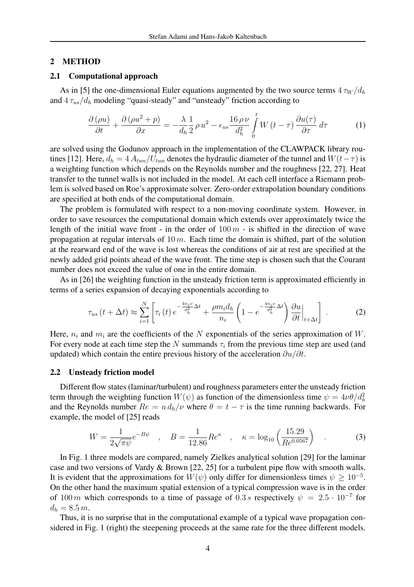### 2 METHOD

### 2.1 Computational approach

As in [5] the one-dimensional Euler equations augmented by the two source terms  $4 \tau_W / d_h$ and  $4 \tau_{us}/d_h$  modeling "quasi-steady" and "unsteady" friction according to

$$
\frac{\partial \left(\rho u\right)}{\partial t} + \frac{\partial \left(\rho u^2 + p\right)}{\partial x} = -\frac{\lambda}{d_h} \frac{1}{2} \rho u^2 - \epsilon_{us} \frac{16 \rho \nu}{d_h^2} \int_0^t W\left(t - \tau\right) \frac{\partial u(\tau)}{\partial \tau} d\tau \tag{1}
$$

are solved using the Godunov approach in the implementation of the CLAWPACK library routines [12]. Here,  $d_h = 4 A_{tun}/U_{tun}$  denotes the hydraulic diameter of the tunnel and  $W(t-\tau)$  is a weighting function which depends on the Reynolds number and the roughness [22, 27]. Heat transfer to the tunnel walls is not included in the model. At each cell interface a Riemann problem is solved based on Roe's approximate solver. Zero-order extrapolation boundary conditions are specified at both ends of the computational domain.

The problem is formulated with respect to a non-moving coordinate system. However, in order to save resources the computational domain which extends over approximately twice the length of the initial wave front - in the order of  $100 m -$  is shifted in the direction of wave propagation at regular intervals of  $10 \, m$ . Each time the domain is shifted, part of the solution at the rearward end of the wave is lost whereas the conditions of air at rest are specified at the newly added grid points ahead of the wave front. The time step is chosen such that the Courant number does not exceed the value of one in the entire domain.

As in [26] the weighting function in the unsteady friction term is approximated efficiently in terms of a series expansion of decaying exponentials according to

$$
\tau_{us}\left(t+\Delta t\right) \approx \sum_{i=1}^{N} \left[ \tau_i\left(t\right) e^{-\frac{4n_i\nu}{d_h^2}\Delta t} + \frac{\rho m_i d_h}{n_i} \left(1 - e^{-\frac{4n_i\nu}{d_h^2}\Delta t}\right) \frac{\partial u}{\partial t}\Big|_{t+\Delta t} \right] \,. \tag{2}
$$

Here,  $n_i$  and  $m_i$  are the coefficients of the N exponentials of the series approximation of W. For every node at each time step the N summands  $\tau_i$  from the previous time step are used (and updated) which contain the entire previous history of the acceleration  $\partial u/\partial t$ .

# 2.2 Unsteady friction model

Different flow states (laminar/turbulent) and roughness parameters enter the unsteady friction term through the weighting function  $W(\psi)$  as function of the dimensionless time  $\psi = 4\nu\theta/d_h^2$ and the Reynolds number  $Re = u d_h/v$  where  $\theta = t - \tau$  is the time running backwards. For example, the model of [25] reads

$$
W = \frac{1}{2\sqrt{\pi\psi}}e^{-B\psi} \quad , \quad B = \frac{1}{12.86}Re^{\kappa} \quad , \quad \kappa = \log_{10}\left(\frac{15.29}{Re^{0.0567}}\right) \quad . \tag{3}
$$

In Fig. 1 three models are compared, namely Zielkes analytical solution [29] for the laminar case and two versions of Vardy & Brown [22, 25] for a turbulent pipe flow with smooth walls. It is evident that the approximations for  $W(\psi)$  only differ for dimensionless times  $\psi \geq 10^{-5}$ . On the other hand the maximum spatial extension of a typical compression wave is in the order of 100 m which corresponds to a time of passage of 0.3 s respectively  $\psi = 2.5 \cdot 10^{-7}$  for  $d_h = 8.5 \, m.$ 

Thus, it is no surprise that in the computational example of a typical wave propagation considered in Fig. 1 (right) the steepening proceeds at the same rate for the three different models.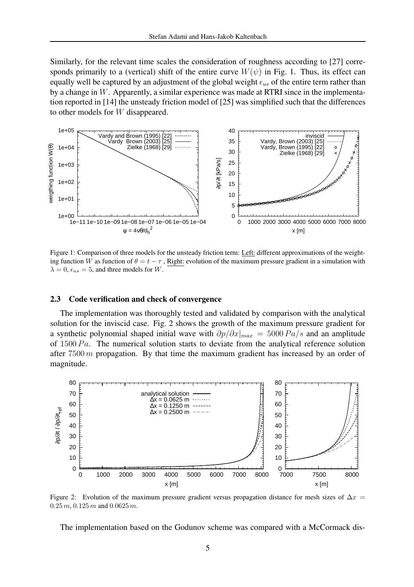Similarly, for the relevant time scales the consideration of roughness according to [27] corresponds primarily to a (vertical) shift of the entire curve  $W(\psi)$  in Fig. 1. Thus, its effect can equally well be captured by an adjustment of the global weight  $\epsilon_{us}$  of the entire term rather than by a change in  $W$ . Apparently, a similar experience was made at RTRI since in the implementation reported in [14] the unsteady friction model of [25] was simplified such that the differences to other models for W disappeared.



Figure 1: Comparison of three models for the unsteady friction term: Left: different approximations of the weighting function W as function of  $\theta = t - \tau$ , Right: evolution of the maximum pressure gradient in a simulation with  $\lambda = 0$ ,  $\epsilon_{us} = 5$ , and three models for W.

#### 2.3 Code verification and check of convergence

The implementation was thoroughly tested and validated by comparison with the analytical solution for the inviscid case. Fig. 2 shows the growth of the maximum pressure gradient for a synthetic polynomial shaped initial wave with  $\partial p/\partial x|_{max} = 5000 Pa/s$  and an amplitude of  $1500 Pa$ . The numerical solution starts to deviate from the analytical reference solution after  $7500 \, m$  propagation. By that time the maximum gradient has increased by an order of magnitude.



Figure 2: Evolution of the maximum pressure gradient versus propagation distance for mesh sizes of  $\Delta x =$  $0.25 m$ ,  $0.125 m$  and  $0.0625 m$ .

The implementation based on the Godunov scheme was compared with a McCormack dis-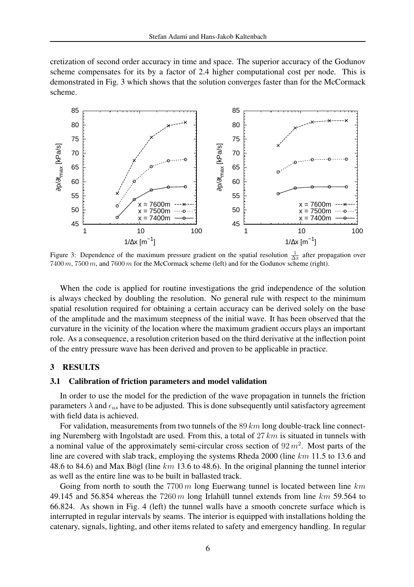cretization of second order accuracy in time and space. The superior accuracy of the Godunov scheme compensates for its by a factor of 2.4 higher computational cost per node. This is demonstrated in Fig. 3 which shows that the solution converges faster than for the McCormack scheme.



Figure 3: Dependence of the maximum pressure gradient on the spatial resolution  $\frac{1}{\Delta x}$  after propagation over 7400 m, 7500 m, and 7600 m for the McCormack scheme (left) and for the Godunov scheme (right).

When the code is applied for routine investigations the grid independence of the solution is always checked by doubling the resolution. No general rule with respect to the minimum spatial resolution required for obtaining a certain accuracy can be derived solely on the base of the amplitude and the maximum steepness of the initial wave. It has been observed that the curvature in the vicinity of the location where the maximum gradient occurs plays an important role. As a consequence, a resolution criterion based on the third derivative at the inflection point of the entry pressure wave has been derived and proven to be applicable in practice.

# 3 RESULTS

# 3.1 Calibration of friction parameters and model validation

In order to use the model for the prediction of the wave propagation in tunnels the friction parameters  $\lambda$  and  $\epsilon_{us}$  have to be adjusted. This is done subsequently until satisfactory agreement with field data is achieved.

For validation, measurements from two tunnels of the 89  $km$  long double-track line connecting Nuremberg with Ingolstadt are used. From this, a total of  $27 \, km$  is situated in tunnels with a nominal value of the approximately semi-circular cross section of  $92 m<sup>2</sup>$ . Most parts of the line are covered with slab track, employing the systems Rheda 2000 (line km 11.5 to 13.6 and 48.6 to 84.6) and Max Bögl (line  $km$  13.6 to 48.6). In the original planning the tunnel interior as well as the entire line was to be built in ballasted track.

Going from north to south the  $7700 \, m$  long Euerwang tunnel is located between line km 49.145 and 56.854 whereas the  $7260 m$  long Irlahull tunnel extends from line  $km$  59.564 to 66.824. As shown in Fig. 4 (left) the tunnel walls have a smooth concrete surface which is interrupted in regular intervals by seams. The interior is equipped with installations holding the catenary, signals, lighting, and other items related to safety and emergency handling. In regular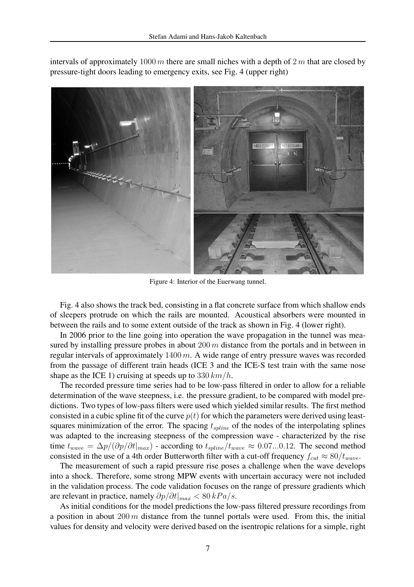

intervals of approximately 1000 m there are small niches with a depth of  $2m$  that are closed by pressure-tight doors leading to emergency exits, see Fig. 4 (upper right)

Figure 4: Interior of the Euerwang tunnel.

Fig. 4 also shows the track bed, consisting in a flat concrete surface from which shallow ends of sleepers protrude on which the rails are mounted. Acoustical absorbers were mounted in between the rails and to some extent outside of the track as shown in Fig. 4 (lower right).

In 2006 prior to the line going into operation the wave propagation in the tunnel was measured by installing pressure probes in about  $200 \, m$  distance from the portals and in between in regular intervals of approximately  $1400 \, m$ . A wide range of entry pressure waves was recorded from the passage of different train heads (ICE 3 and the ICE-S test train with the same nose shape as the ICE 1) cruising at speeds up to  $330 \, km/h$ .

The recorded pressure time series had to be low-pass filtered in order to allow for a reliable determination of the wave steepness, i.e. the pressure gradient, to be compared with model predictions. Two types of low-pass filters were used which yielded similar results. The first method consisted in a cubic spline fit of the curve  $p(t)$  for which the parameters were derived using leastsquares minimization of the error. The spacing  $t_{\text{spline}}$  of the nodes of the interpolating splines was adapted to the increasing steepness of the compression wave - characterized by the rise time  $t_{wave} = \Delta p/(\partial p/\partial t|_{max})$  - according to  $t_{spline}/t_{wave} \approx 0.07...0.12$ . The second method consisted in the use of a 4th order Butterworth filter with a cut-off frequency  $f_{cut} \approx 80/t_{wave}$ .

The measurement of such a rapid pressure rise poses a challenge when the wave develops into a shock. Therefore, some strong MPW events with uncertain accuracy were not included in the validation process. The code validation focuses on the range of pressure gradients which are relevant in practice, namely  $\partial p/\partial t|_{max} < 80 kPa/s$ .

As initial conditions for the model predictions the low-pass filtered pressure recordings from a position in about  $200 \, m$  distance from the tunnel portals were used. From this, the initial values for density and velocity were derived based on the isentropic relations for a simple, right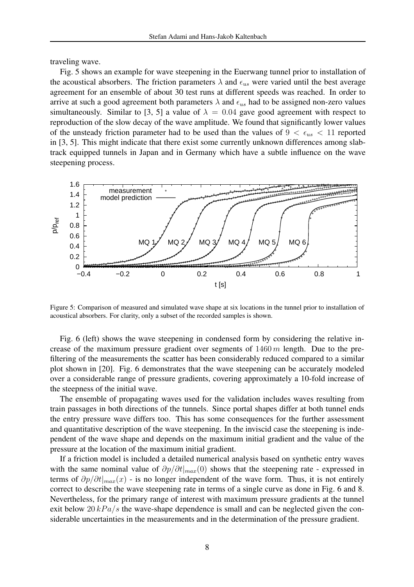traveling wave.

Fig. 5 shows an example for wave steepening in the Euerwang tunnel prior to installation of the acoustical absorbers. The friction parameters  $\lambda$  and  $\epsilon_{us}$  were varied until the best average agreement for an ensemble of about 30 test runs at different speeds was reached. In order to arrive at such a good agreement both parameters  $\lambda$  and  $\epsilon_{us}$  had to be assigned non-zero values simultaneously. Similar to [3, 5] a value of  $\lambda = 0.04$  gave good agreement with respect to reproduction of the slow decay of the wave amplitude. We found that significantly lower values of the unsteady friction parameter had to be used than the values of  $9 < \epsilon_{us} < 11$  reported in [3, 5]. This might indicate that there exist some currently unknown differences among slabtrack equipped tunnels in Japan and in Germany which have a subtle influence on the wave steepening process.



Figure 5: Comparison of measured and simulated wave shape at six locations in the tunnel prior to installation of acoustical absorbers. For clarity, only a subset of the recorded samples is shown.

Fig. 6 (left) shows the wave steepening in condensed form by considering the relative increase of the maximum pressure gradient over segments of  $1460 \, m$  length. Due to the prefiltering of the measurements the scatter has been considerably reduced compared to a similar plot shown in [20]. Fig. 6 demonstrates that the wave steepening can be accurately modeled over a considerable range of pressure gradients, covering approximately a 10-fold increase of the steepness of the initial wave.

The ensemble of propagating waves used for the validation includes waves resulting from train passages in both directions of the tunnels. Since portal shapes differ at both tunnel ends the entry pressure wave differs too. This has some consequences for the further assessment and quantitative description of the wave steepening. In the inviscid case the steepening is independent of the wave shape and depends on the maximum initial gradient and the value of the pressure at the location of the maximum initial gradient.

If a friction model is included a detailed numerical analysis based on synthetic entry waves with the same nominal value of  $\partial p/\partial t|_{max}(0)$  shows that the steepening rate - expressed in terms of  $\partial p/\partial t|_{max}(x)$  - is no longer independent of the wave form. Thus, it is not entirely correct to describe the wave steepening rate in terms of a single curve as done in Fig. 6 and 8. Nevertheless, for the primary range of interest with maximum pressure gradients at the tunnel exit below 20  $kPa/s$  the wave-shape dependence is small and can be neglected given the considerable uncertainties in the measurements and in the determination of the pressure gradient.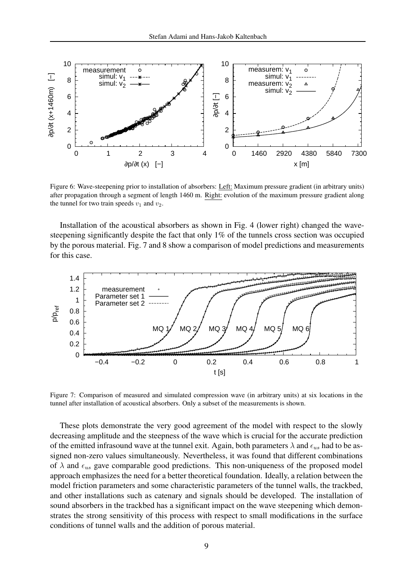

Figure 6: Wave-steepening prior to installation of absorbers: Left: Maximum pressure gradient (in arbitrary units) after propagation through a segment of length 1460 m. Right: evolution of the maximum pressure gradient along the tunnel for two train speeds  $v_1$  and  $v_2$ .

Installation of the acoustical absorbers as shown in Fig. 4 (lower right) changed the wavesteepening significantly despite the fact that only 1% of the tunnels cross section was occupied by the porous material. Fig. 7 and 8 show a comparison of model predictions and measurements for this case.



Figure 7: Comparison of measured and simulated compression wave (in arbitrary units) at six locations in the tunnel after installation of acoustical absorbers. Only a subset of the measurements is shown.

These plots demonstrate the very good agreement of the model with respect to the slowly decreasing amplitude and the steepness of the wave which is crucial for the accurate prediction of the emitted infrasound wave at the tunnel exit. Again, both parameters  $\lambda$  and  $\epsilon_{us}$  had to be assigned non-zero values simultaneously. Nevertheless, it was found that different combinations of  $\lambda$  and  $\epsilon_{us}$  gave comparable good predictions. This non-uniqueness of the proposed model approach emphasizes the need for a better theoretical foundation. Ideally, a relation between the model friction parameters and some characteristic parameters of the tunnel walls, the trackbed, and other installations such as catenary and signals should be developed. The installation of sound absorbers in the trackbed has a significant impact on the wave steepening which demonstrates the strong sensitivity of this process with respect to small modifications in the surface conditions of tunnel walls and the addition of porous material.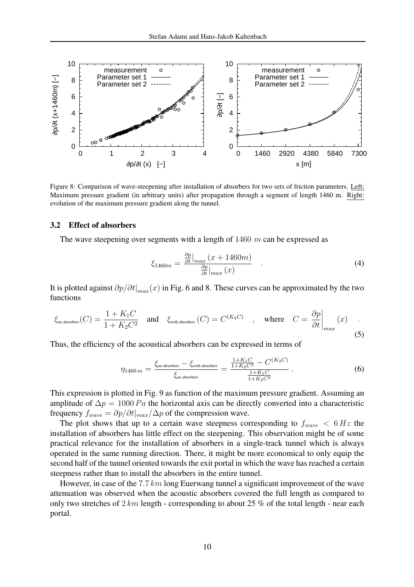

Figure 8: Comparison of wave-steepening after installation of absorbers for two sets of friction parameters. Left: Maximum pressure gradient (in arbitrary units) after propagation through a segment of length 1460 m. Right: evolution of the maximum pressure gradient along the tunnel.

### 3.2 Effect of absorbers

The wave steepening over segments with a length of  $1460$  m can be expressed as

$$
\xi_{1460m} = \frac{\frac{\partial p}{\partial t}|_{max}(x + 1460m)}{\frac{\partial p}{\partial t}|_{max}(x)} \quad . \tag{4}
$$

It is plotted against  $\partial p/\partial t|_{max}(x)$  in Fig. 6 and 8. These curves can be approximated by the two functions

$$
\xi_{\text{no absorbers}}(C) = \frac{1 + K_1 C}{1 + K_2 C^2} \quad \text{and} \quad \xi_{\text{with absorbers}}(C) = C^{(K_3 C)} \quad , \quad \text{where} \quad C = \frac{\partial p}{\partial t} \Big|_{max} (x) \quad . \tag{5}
$$

Thus, the efficiency of the acoustical absorbers can be expressed in terms of

$$
\eta_{1460\,m} = \frac{\xi_{\text{no absorbers}} - \xi_{\text{with absorbers}}}{\xi_{\text{no absorbers}}} = \frac{\frac{1 + K_1 C}{1 + K_2 C^2} - C^{(K_3 C)}}{\frac{1 + K_1 C}{1 + K_2 C^2}}.
$$
\n(6)

This expression is plotted in Fig. 9 as function of the maximum pressure gradient. Assuming an amplitude of  $\Delta p = 1000 Pa$  the horizontal axis can be directly converted into a characteristic frequency  $f_{wave} = \partial p / \partial t |_{max} / \Delta p$  of the compression wave.

The plot shows that up to a certain wave steepness corresponding to  $f_{wave} < 6 Hz$  the installation of absorbers has little effect on the steepening. This observation might be of some practical relevance for the installation of absorbers in a single-track tunnel which is always operated in the same running direction. There, it might be more economical to only equip the second half of the tunnel oriented towards the exit portal in which the wave has reached a certain steepness rather than to install the absorbers in the entire tunnel.

However, in case of the 7.7 km long Euerwang tunnel a significant improvement of the wave attenuation was observed when the acoustic absorbers covered the full length as compared to only two stretches of  $2 km$  length - corresponding to about  $25\%$  of the total length - near each portal.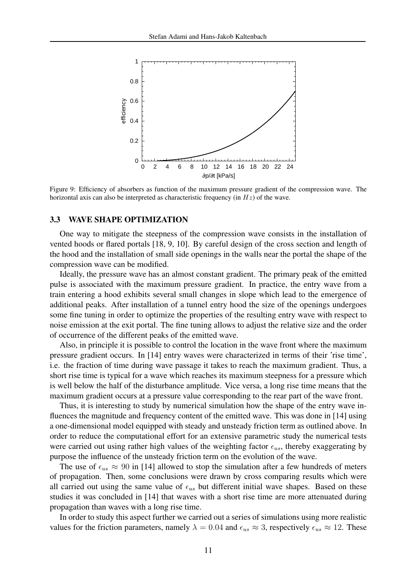

Figure 9: Efficiency of absorbers as function of the maximum pressure gradient of the compression wave. The horizontal axis can also be interpreted as characteristic frequency (in  $Hz$ ) of the wave.

# 3.3 WAVE SHAPE OPTIMIZATION

One way to mitigate the steepness of the compression wave consists in the installation of vented hoods or flared portals [18, 9, 10]. By careful design of the cross section and length of the hood and the installation of small side openings in the walls near the portal the shape of the compression wave can be modified.

Ideally, the pressure wave has an almost constant gradient. The primary peak of the emitted pulse is associated with the maximum pressure gradient. In practice, the entry wave from a train entering a hood exhibits several small changes in slope which lead to the emergence of additional peaks. After installation of a tunnel entry hood the size of the openings undergoes some fine tuning in order to optimize the properties of the resulting entry wave with respect to noise emission at the exit portal. The fine tuning allows to adjust the relative size and the order of occurrence of the different peaks of the emitted wave.

Also, in principle it is possible to control the location in the wave front where the maximum pressure gradient occurs. In [14] entry waves were characterized in terms of their 'rise time', i.e. the fraction of time during wave passage it takes to reach the maximum gradient. Thus, a short rise time is typical for a wave which reaches its maximum steepness for a pressure which is well below the half of the disturbance amplitude. Vice versa, a long rise time means that the maximum gradient occurs at a pressure value corresponding to the rear part of the wave front.

Thus, it is interesting to study by numerical simulation how the shape of the entry wave influences the magnitude and frequency content of the emitted wave. This was done in [14] using a one-dimensional model equipped with steady and unsteady friction term as outlined above. In order to reduce the computational effort for an extensive parametric study the numerical tests were carried out using rather high values of the weighting factor  $\epsilon_{us}$ , thereby exaggerating by purpose the influence of the unsteady friction term on the evolution of the wave.

The use of  $\epsilon_{us} \approx 90$  in [14] allowed to stop the simulation after a few hundreds of meters of propagation. Then, some conclusions were drawn by cross comparing results which were all carried out using the same value of  $\epsilon_{us}$  but different initial wave shapes. Based on these studies it was concluded in [14] that waves with a short rise time are more attenuated during propagation than waves with a long rise time.

In order to study this aspect further we carried out a series of simulations using more realistic values for the friction parameters, namely  $\lambda = 0.04$  and  $\epsilon_{us} \approx 3$ , respectively  $\epsilon_{us} \approx 12$ . These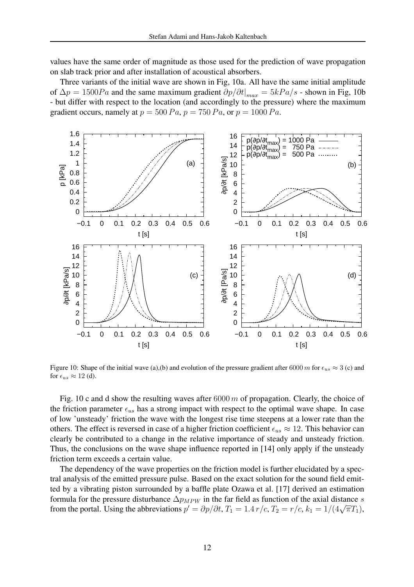values have the same order of magnitude as those used for the prediction of wave propagation on slab track prior and after installation of acoustical absorbers.

Three variants of the initial wave are shown in Fig, 10a. All have the same initial amplitude of  $\Delta p = 1500Pa$  and the same maximum gradient  $\partial p/\partial t|_{max} = 5kPa/s$  - shown in Fig, 10b - but differ with respect to the location (and accordingly to the pressure) where the maximum gradient occurs, namely at  $p = 500 Pa$ ,  $p = 750 Pa$ , or  $p = 1000 Pa$ .



Figure 10: Shape of the initial wave (a),(b) and evolution of the pressure gradient after 6000 m for  $\epsilon_{us} \approx 3$  (c) and for  $\epsilon_{us} \approx 12$  (d).

Fig. 10 c and d show the resulting waves after  $6000 \, m$  of propagation. Clearly, the choice of the friction parameter  $\epsilon_{us}$  has a strong impact with respect to the optimal wave shape. In case of low 'unsteady' friction the wave with the longest rise time steepens at a lower rate than the others. The effect is reversed in case of a higher friction coefficient  $\epsilon_{us} \approx 12$ . This behavior can clearly be contributed to a change in the relative importance of steady and unsteady friction. Thus, the conclusions on the wave shape influence reported in [14] only apply if the unsteady friction term exceeds a certain value.

The dependency of the wave properties on the friction model is further elucidated by a spectral analysis of the emitted pressure pulse. Based on the exact solution for the sound field emitted by a vibrating piston surrounded by a baffle plate Ozawa et al. [17] derived an estimation formula for the pressure disturbance  $\Delta p_{MPW}$  in the far field as function of the axial distance s from the portal. Using the abbreviations  $p' = \partial p / \partial t$ ,  $T_1 = 1.4 r/c$ ,  $T_2 = r/c$ ,  $k_1 = 1/(4\sqrt{\pi}T_1)$ ,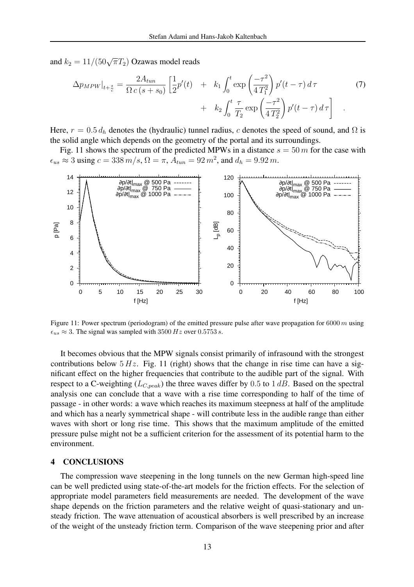and  $k_2 = 11/(50\sqrt{\pi}T_2)$  Ozawas model reads

$$
\Delta p_{MPW}|_{t+\frac{s}{c}} = \frac{2A_{tun}}{\Omega c (s+s_0)} \left[ \frac{1}{2} p'(t) + k_1 \int_0^t \exp\left(\frac{-\tau^2}{4 T_1^2}\right) p'(t-\tau) d\tau + k_2 \int_0^t \frac{\tau}{T_2} \exp\left(\frac{-\tau^2}{4 T_2^2}\right) p'(t-\tau) d\tau \right] . \tag{7}
$$

Here,  $r = 0.5 d_h$  denotes the (hydraulic) tunnel radius, c denotes the speed of sound, and  $\Omega$  is the solid angle which depends on the geometry of the portal and its surroundings.

Fig. 11 shows the spectrum of the predicted MPWs in a distance  $s = 50 m$  for the case with  $\epsilon_{us} \approx 3 \text{ using } c = 338 \, m/s, \Omega = \pi, A_{tun} = 92 \, m^2, \text{ and } d_h = 9.92 \, m.$ 



Figure 11: Power spectrum (periodogram) of the emitted pressure pulse after wave propagation for  $6000 \, m$  using  $\epsilon_{us} \approx 3$ . The signal was sampled with 3500 Hz over 0.5753 s.

It becomes obvious that the MPW signals consist primarily of infrasound with the strongest contributions below  $5 Hz$ . Fig. 11 (right) shows that the change in rise time can have a significant effect on the higher frequencies that contribute to the audible part of the signal. With respect to a C-weighting ( $L_{C,peak}$ ) the three waves differ by 0.5 to 1 dB. Based on the spectral analysis one can conclude that a wave with a rise time corresponding to half of the time of passage - in other words: a wave which reaches its maximum steepness at half of the amplitude and which has a nearly symmetrical shape - will contribute less in the audible range than either waves with short or long rise time. This shows that the maximum amplitude of the emitted pressure pulse might not be a sufficient criterion for the assessment of its potential harm to the environment.

### 4 CONCLUSIONS

The compression wave steepening in the long tunnels on the new German high-speed line can be well predicted using state-of-the-art models for the friction effects. For the selection of appropriate model parameters field measurements are needed. The development of the wave shape depends on the friction parameters and the relative weight of quasi-stationary and unsteady friction. The wave attenuation of acoustical absorbers is well prescribed by an increase of the weight of the unsteady friction term. Comparison of the wave steepening prior and after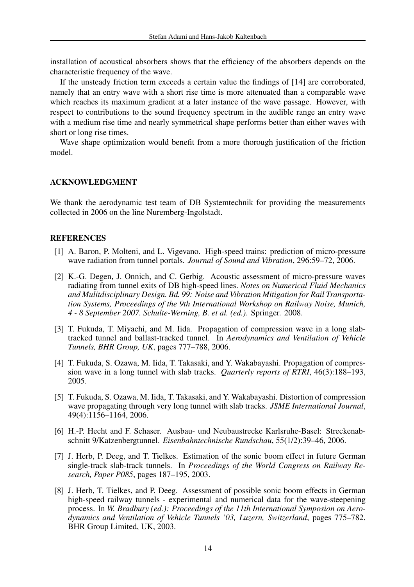installation of acoustical absorbers shows that the efficiency of the absorbers depends on the characteristic frequency of the wave.

If the unsteady friction term exceeds a certain value the findings of [14] are corroborated, namely that an entry wave with a short rise time is more attenuated than a comparable wave which reaches its maximum gradient at a later instance of the wave passage. However, with respect to contributions to the sound frequency spectrum in the audible range an entry wave with a medium rise time and nearly symmetrical shape performs better than either waves with short or long rise times.

Wave shape optimization would benefit from a more thorough justification of the friction model.

# ACKNOWLEDGMENT

We thank the aerodynamic test team of DB Systemtechnik for providing the measurements collected in 2006 on the line Nuremberg-Ingolstadt.

### REFERENCES

- [1] A. Baron, P. Molteni, and L. Vigevano. High-speed trains: prediction of micro-pressure wave radiation from tunnel portals. *Journal of Sound and Vibration*, 296:59–72, 2006.
- [2] K.-G. Degen, J. Onnich, and C. Gerbig. Acoustic assessment of micro-pressure waves radiating from tunnel exits of DB high-speed lines. *Notes on Numerical Fluid Mechanics and Mulitdisciplinary Design. Bd. 99: Noise and Vibration Mitigation for Rail Transportation Systems, Proceedings of the 9th International Workshop on Railway Noise, Munich, 4 - 8 September 2007. Schulte-Werning, B. et al. (ed.)*. Springer. 2008.
- [3] T. Fukuda, T. Miyachi, and M. Iida. Propagation of compression wave in a long slabtracked tunnel and ballast-tracked tunnel. In *Aerodynamics and Ventilation of Vehicle Tunnels, BHR Group, UK*, pages 777–788, 2006.
- [4] T. Fukuda, S. Ozawa, M. Iida, T. Takasaki, and Y. Wakabayashi. Propagation of compression wave in a long tunnel with slab tracks. *Quarterly reports of RTRI*, 46(3):188–193, 2005.
- [5] T. Fukuda, S. Ozawa, M. Iida, T. Takasaki, and Y. Wakabayashi. Distortion of compression wave propagating through very long tunnel with slab tracks. *JSME International Journal*, 49(4):1156–1164, 2006.
- [6] H.-P. Hecht and F. Schaser. Ausbau- und Neubaustrecke Karlsruhe-Basel: Streckenabschnitt 9/Katzenbergtunnel. *Eisenbahntechnische Rundschau*, 55(1/2):39–46, 2006.
- [7] J. Herb, P. Deeg, and T. Tielkes. Estimation of the sonic boom effect in future German single-track slab-track tunnels. In *Proceedings of the World Congress on Railway Research, Paper P085*, pages 187–195, 2003.
- [8] J. Herb, T. Tielkes, and P. Deeg. Assessment of possible sonic boom effects in German high-speed railway tunnels - experimental and numerical data for the wave-steepening process. In *W. Bradbury (ed.): Proceedings of the 11th International Symposion on Aerodynamics and Ventilation of Vehicle Tunnels '03, Luzern, Switzerland*, pages 775–782. BHR Group Limited, UK, 2003.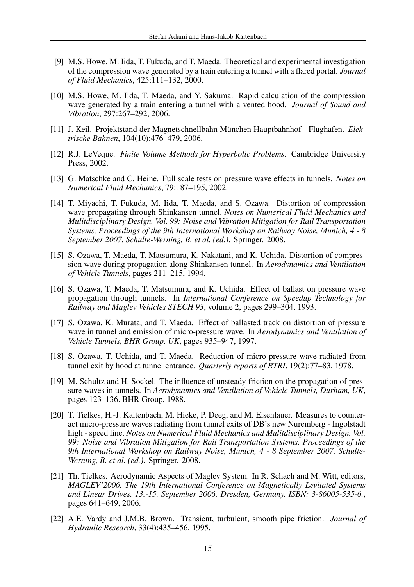- [9] M.S. Howe, M. Iida, T. Fukuda, and T. Maeda. Theoretical and experimental investigation of the compression wave generated by a train entering a tunnel with a flared portal. *Journal of Fluid Mechanics*, 425:111–132, 2000.
- [10] M.S. Howe, M. Iida, T. Maeda, and Y. Sakuma. Rapid calculation of the compression wave generated by a train entering a tunnel with a vented hood. *Journal of Sound and Vibration*, 297:267–292, 2006.
- [11] J. Keil. Projektstand der Magnetschnellbahn München Hauptbahnhof Flughafen. Elek*trische Bahnen*, 104(10):476–479, 2006.
- [12] R.J. LeVeque. *Finite Volume Methods for Hyperbolic Problems*. Cambridge University Press, 2002.
- [13] G. Matschke and C. Heine. Full scale tests on pressure wave effects in tunnels. *Notes on Numerical Fluid Mechanics*, 79:187–195, 2002.
- [14] T. Miyachi, T. Fukuda, M. Iida, T. Maeda, and S. Ozawa. Distortion of compression wave propagating through Shinkansen tunnel. *Notes on Numerical Fluid Mechanics and Mulitdisciplinary Design. Vol. 99: Noise and Vibration Mitigation for Rail Transportation Systems, Proceedings of the 9th International Workshop on Railway Noise, Munich, 4 - 8 September 2007. Schulte-Werning, B. et al. (ed.)*. Springer. 2008.
- [15] S. Ozawa, T. Maeda, T. Matsumura, K. Nakatani, and K. Uchida. Distortion of compression wave during propagation along Shinkansen tunnel. In *Aerodynamics and Ventilation of Vehicle Tunnels*, pages 211–215, 1994.
- [16] S. Ozawa, T. Maeda, T. Matsumura, and K. Uchida. Effect of ballast on pressure wave propagation through tunnels. In *International Conference on Speedup Technology for Railway and Maglev Vehicles STECH 93*, volume 2, pages 299–304, 1993.
- [17] S. Ozawa, K. Murata, and T. Maeda. Effect of ballasted track on distortion of pressure wave in tunnel and emission of micro-pressure wave. In *Aerodynamics and Ventilation of Vehicle Tunnels, BHR Group, UK*, pages 935–947, 1997.
- [18] S. Ozawa, T. Uchida, and T. Maeda. Reduction of micro-pressure wave radiated from tunnel exit by hood at tunnel entrance. *Quarterly reports of RTRI*, 19(2):77–83, 1978.
- [19] M. Schultz and H. Sockel. The influence of unsteady friction on the propagation of pressure waves in tunnels. In *Aerodynamics and Ventilation of Vehicle Tunnels, Durham, UK*, pages 123–136. BHR Group, 1988.
- [20] T. Tielkes, H.-J. Kaltenbach, M. Hieke, P. Deeg, and M. Eisenlauer. Measures to counteract micro-pressure waves radiating from tunnel exits of DB's new Nuremberg - Ingolstadt high - speed line. *Notes on Numerical Fluid Mechanics and Mulitdisciplinary Design. Vol. 99: Noise and Vibration Mitigation for Rail Transportation Systems, Proceedings of the 9th International Workshop on Railway Noise, Munich, 4 - 8 September 2007. Schulte-Werning, B. et al. (ed.)*. Springer. 2008.
- [21] Th. Tielkes. Aerodynamic Aspects of Maglev System. In R. Schach and M. Witt, editors, *MAGLEV'2006. The 19th International Conference on Magnetically Levitated Systems and Linear Drives. 13.-15. September 2006, Dresden, Germany. ISBN: 3-86005-535-6.*, pages 641–649, 2006.
- [22] A.E. Vardy and J.M.B. Brown. Transient, turbulent, smooth pipe friction. *Journal of Hydraulic Research*, 33(4):435–456, 1995.